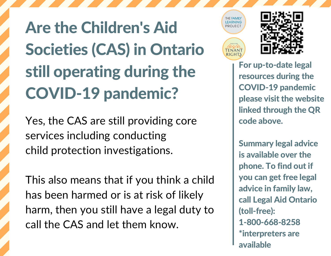Are the Children's Aid Societies (CAS) in Ontario still operating during the COVID-19 pandemic?

Yes, the CAS are still providing core services including conducting child protection investigations.

This also means that if you think a child has been harmed or is at risk of likely harm, then you still have a legal duty to call the CAS and let them know.





For up-to-date legal resources during the COVID-19 pandemic please visit the website linked through the QR code above.

Summary legal advice is available over the phone. To find out if you can get free legal advice in family law, call Legal Aid Ontario (toll-free): 1-800-668-8258 \*interpreters are available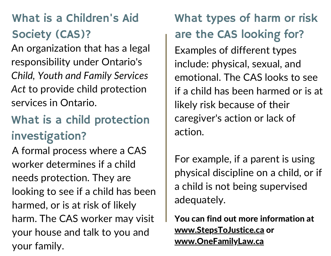## What is a Children's Aid Society (CAS)?

An organization that has a legal responsibility under Ontario's *Child, Youth and Family Services Act* to provide child protection services in Ontario.

## What is a child protection investigation?

A formal process where a CAS worker determines if a child needs protection. They are looking to see if a child has been harmed, or is at risk of likely harm. The CAS worker may visit your house and talk to you and your family.

What types of harm or risk are the CAS looking for? Examples of different types include: physical, sexual, and emotional. The CAS looks to see if a child has been harmed or is at likely risk because of their caregiver's action or lack of action.

For example, if a parent is using physical discipline on a child, or if a child is not being supervised adequately.

You can find out more information at [www.StepsToJustice.ca](https://stepstojustice.ca/questions/family-law/what-can-cas-do-if-they-think-my-child-being-abused-or-neglected) or [www.OneFamilyLaw.ca](https://onefamilylaw.ca/)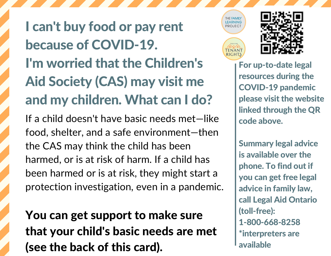I can't buy food or pay rent because of COVID-19. I'm worried that the Children's Aid Society (CAS) may visit me and my children. What can I do?

If a child doesn't have basic needs met—like food, shelter, and a safe environment—then the CAS may think the child has been harmed, or is at risk of harm. If a child has been harmed or is at risk, they might start a protection investigation, even in a pandemic.

You can get support to make sure that your child's basic needs are met (see the back of this card).



**I FARNING** 

**FNANT** 

For up-to-date legal resources during the COVID-19 pandemic please visit the website linked through the QR code above.

Summary legal advice is available over the phone. To find out if you can get free legal advice in family law, call Legal Aid Ontario (toll-free): 1-800-668-8258 \*interpreters are available